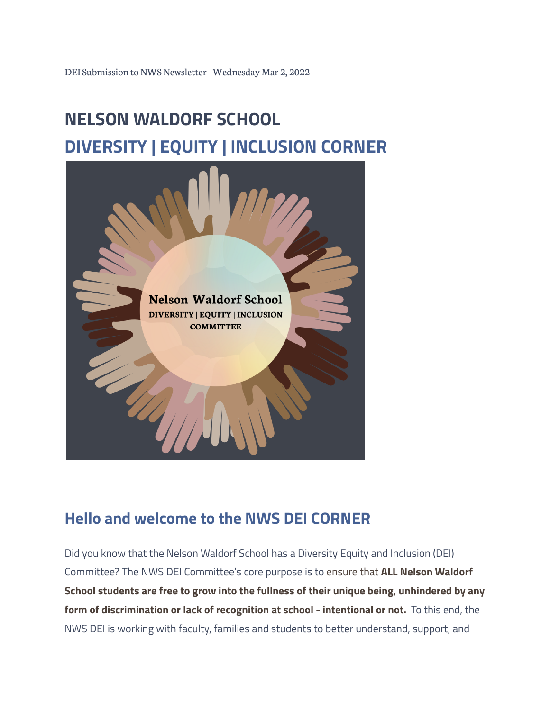# **NELSON WALDORF SCHOOL DIVERSITY | EQUITY | INCLUSION CORNER**



## **Hello and welcome to the NWS DEI CORNER**

Did you know that the Nelson Waldorf School has a Diversity Equity and Inclusion (DEI) Committee? The NWS DEI Committee's core purpose is to ensure that **ALL Nelson Waldorf School students are free to grow into the fullness of their unique being, unhindered by any form of discrimination or lack of recognition at school - intentional or not.** To this end, the NWS DEI is working with faculty, families and students to better understand, support, and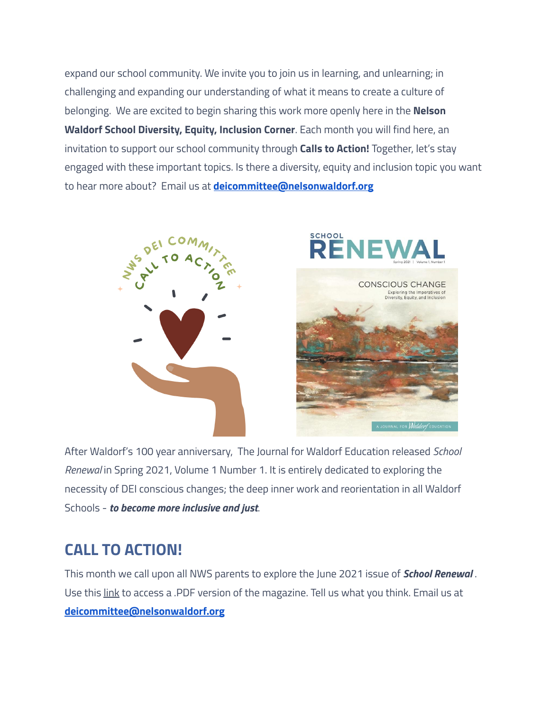expand our school community. We invite you to join us in learning, and unlearning; in challenging and expanding our understanding of what it means to create a culture of belonging. We are excited to begin sharing this work more openly here in the **Nelson Waldorf School Diversity, Equity, Inclusion Corner**. Each month you will find here, an invitation to support our school community through **Calls to Action!** Together, let's stay engaged with these important topics. Is there a diversity, equity and inclusion topic you want to hear more about? Email us at **[deicommittee@nelsonwaldorf.org](mailto:deicommittee@nelsonwaldorf.org)**





After Waldorf's 100 year anniversary, The Journal for Waldorf Education released *School Renewal* in Spring 2021, Volume 1 Number 1. It is entirely dedicated to exploring the necessity of DEI conscious changes; the deep inner work and reorientation in all Waldorf Schools - *to become more inclusive and just*.

### **CALL TO ACTION!**

This month we call upon all NWS parents to explore the June 2021 issue of *School Renewal* . Use this link to access a .PDF version of the magazine. Tell us what you think. Email us at **[deicommittee@nelsonwaldorf.org](mailto:deicommittee@nelsonwaldorf.org)**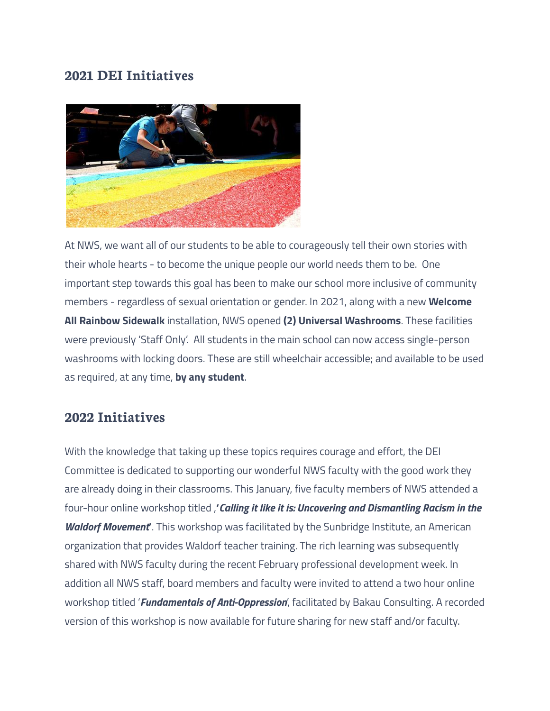#### **2021 DEI Initiatives**



At NWS, we want all of our students to be able to courageously tell their own stories with their whole hearts - to become the unique people our world needs them to be. One important step towards this goal has been to make our school more inclusive of community members - regardless of sexual orientation or gender. In 2021, along with a new **Welcome All Rainbow Sidewalk** installation, NWS opened **(2) Universal Washrooms**. These facilities were previously 'Staff Only'. All students in the main school can now access single-person washrooms with locking doors. These are still wheelchair accessible; and available to be used as required, at any time, **by any student**.

#### **2022 Initiatives**

With the knowledge that taking up these topics requires courage and effort, the DEI Committee is dedicated to supporting our wonderful NWS faculty with the good work they are already doing in their classrooms. This January, five faculty members of NWS attended a four-hour online workshop titled ,**'***Calling it like it is: Uncovering and Dismantling Racism in the Waldorf Movement***'**. This workshop was facilitated by the Sunbridge Institute, an American organization that provides Waldorf teacher training. The rich learning was subsequently shared with NWS faculty during the recent February professional development week. In addition all NWS staff, board members and faculty were invited to attend a two hour online workshop titled '*Fundamentals of Anti-Oppression*', facilitated by Bakau Consulting. A recorded version of this workshop is now available for future sharing for new staff and/or faculty.